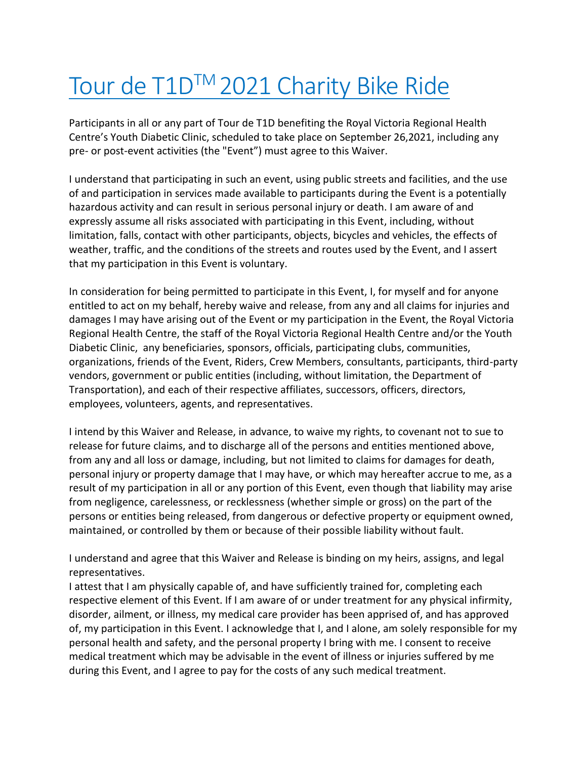## Tour de T1D™ 2021 Charity Bike Ride

Participants in all or any part of Tour de T1D benefiting the Royal Victoria Regional Health Centre's Youth Diabetic Clinic, scheduled to take place on September 26,2021, including any pre- or post-event activities (the "Event") must agree to this Waiver.

I understand that participating in such an event, using public streets and facilities, and the use of and participation in services made available to participants during the Event is a potentially hazardous activity and can result in serious personal injury or death. I am aware of and expressly assume all risks associated with participating in this Event, including, without limitation, falls, contact with other participants, objects, bicycles and vehicles, the effects of weather, traffic, and the conditions of the streets and routes used by the Event, and I assert that my participation in this Event is voluntary.

In consideration for being permitted to participate in this Event, I, for myself and for anyone entitled to act on my behalf, hereby waive and release, from any and all claims for injuries and damages I may have arising out of the Event or my participation in the Event, the Royal Victoria Regional Health Centre, the staff of the Royal Victoria Regional Health Centre and/or the Youth Diabetic Clinic, any beneficiaries, sponsors, officials, participating clubs, communities, organizations, friends of the Event, Riders, Crew Members, consultants, participants, third-party vendors, government or public entities (including, without limitation, the Department of Transportation), and each of their respective affiliates, successors, officers, directors, employees, volunteers, agents, and representatives.

I intend by this Waiver and Release, in advance, to waive my rights, to covenant not to sue to release for future claims, and to discharge all of the persons and entities mentioned above, from any and all loss or damage, including, but not limited to claims for damages for death, personal injury or property damage that I may have, or which may hereafter accrue to me, as a result of my participation in all or any portion of this Event, even though that liability may arise from negligence, carelessness, or recklessness (whether simple or gross) on the part of the persons or entities being released, from dangerous or defective property or equipment owned, maintained, or controlled by them or because of their possible liability without fault.

I understand and agree that this Waiver and Release is binding on my heirs, assigns, and legal representatives.

I attest that I am physically capable of, and have sufficiently trained for, completing each respective element of this Event. If I am aware of or under treatment for any physical infirmity, disorder, ailment, or illness, my medical care provider has been apprised of, and has approved of, my participation in this Event. I acknowledge that I, and I alone, am solely responsible for my personal health and safety, and the personal property I bring with me. I consent to receive medical treatment which may be advisable in the event of illness or injuries suffered by me during this Event, and I agree to pay for the costs of any such medical treatment.